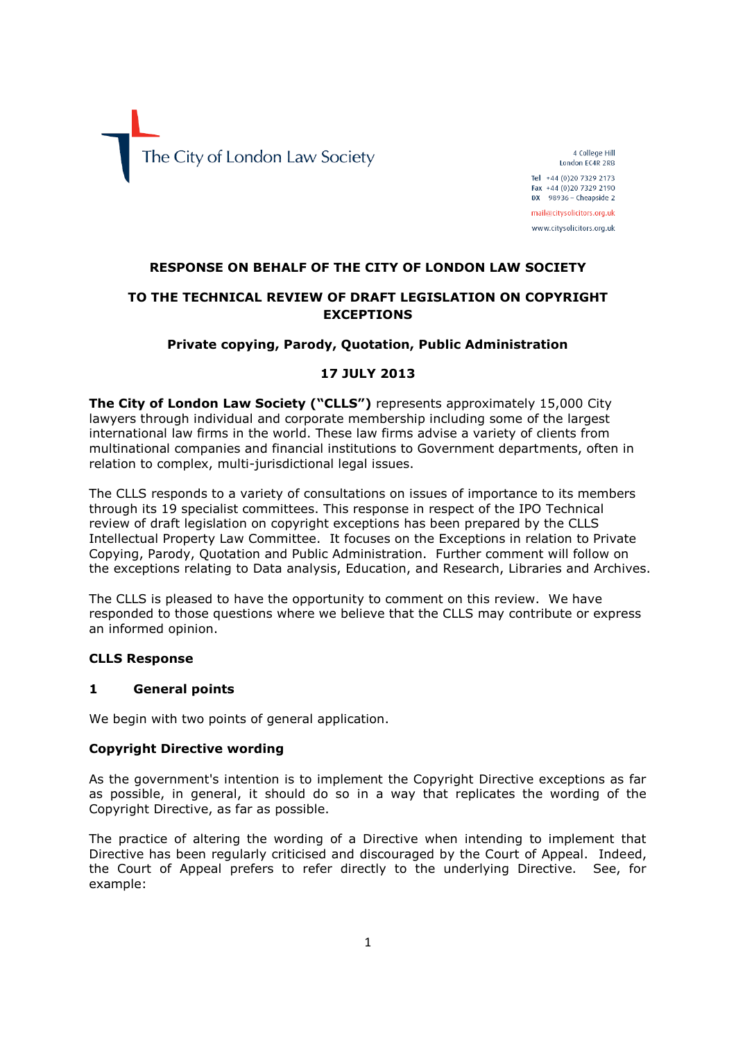

4 College Hill London EC4R 2RB Tel +44 (0)20 7329 2173 Fax +44 (0) 20 7329 2190

 $DX$  98936 - Cheapside 2 mail@citysolicitors.org.uk

www.citysolicitors.org.uk

### **RESPONSE ON BEHALF OF THE CITY OF LONDON LAW SOCIETY**

# **TO THE TECHNICAL REVIEW OF DRAFT LEGISLATION ON COPYRIGHT EXCEPTIONS**

### **Private copying, Parody, Quotation, Public Administration**

### **17 JULY 2013**

**The City of London Law Society ("CLLS")** represents approximately 15,000 City lawyers through individual and corporate membership including some of the largest international law firms in the world. These law firms advise a variety of clients from multinational companies and financial institutions to Government departments, often in relation to complex, multi-jurisdictional legal issues.

The CLLS responds to a variety of consultations on issues of importance to its members through its 19 specialist committees. This response in respect of the IPO Technical review of draft legislation on copyright exceptions has been prepared by the CLLS Intellectual Property Law Committee. It focuses on the Exceptions in relation to Private Copying, Parody, Quotation and Public Administration. Further comment will follow on the exceptions relating to Data analysis, Education, and Research, Libraries and Archives.

The CLLS is pleased to have the opportunity to comment on this review. We have responded to those questions where we believe that the CLLS may contribute or express an informed opinion.

### **CLLS Response**

#### **1 General points**

We begin with two points of general application.

#### **Copyright Directive wording**

As the government's intention is to implement the Copyright Directive exceptions as far as possible, in general, it should do so in a way that replicates the wording of the Copyright Directive, as far as possible.

The practice of altering the wording of a Directive when intending to implement that Directive has been regularly criticised and discouraged by the Court of Appeal. Indeed, the Court of Appeal prefers to refer directly to the underlying Directive. See, for example: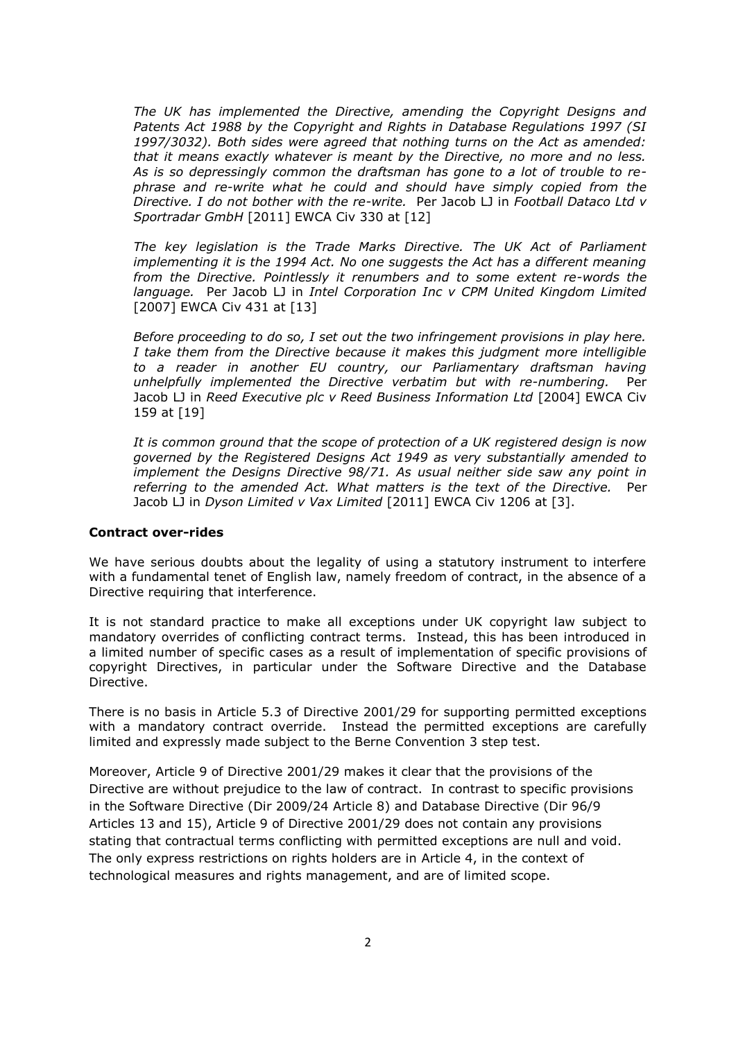*The UK has implemented the Directive, amending the Copyright Designs and Patents Act 1988 by the Copyright and Rights in Database Regulations 1997 (SI 1997/3032). Both sides were agreed that nothing turns on the Act as amended: that it means exactly whatever is meant by the Directive, no more and no less. As is so depressingly common the draftsman has gone to a lot of trouble to rephrase and re-write what he could and should have simply copied from the Directive. I do not bother with the re-write.* Per Jacob LJ in *Football Dataco Ltd v Sportradar GmbH* [2011] EWCA Civ 330 at [12]

*The key legislation is the Trade Marks Directive. The UK Act of Parliament implementing it is the 1994 Act. No one suggests the Act has a different meaning from the Directive. Pointlessly it renumbers and to some extent re-words the language.* Per Jacob LJ in *Intel Corporation Inc v CPM United Kingdom Limited* [2007] EWCA Civ 431 at [13]

*Before proceeding to do so, I set out the two infringement provisions in play here. I take them from the Directive because it makes this judgment more intelligible to a reader in another EU country, our Parliamentary draftsman having unhelpfully implemented the Directive verbatim but with re-numbering.* Per Jacob LJ in *Reed Executive plc v Reed Business Information Ltd* [2004] EWCA Civ 159 at [19]

*It is common ground that the scope of protection of a UK registered design is now governed by the Registered Designs Act 1949 as very substantially amended to implement the Designs Directive 98/71. As usual neither side saw any point in referring to the amended Act. What matters is the text of the Directive.* Per Jacob LJ in *Dyson Limited v Vax Limited* [2011] EWCA Civ 1206 at [3].

### **Contract over-rides**

We have serious doubts about the legality of using a statutory instrument to interfere with a fundamental tenet of English law, namely freedom of contract, in the absence of a Directive requiring that interference.

It is not standard practice to make all exceptions under UK copyright law subject to mandatory overrides of conflicting contract terms. Instead, this has been introduced in a limited number of specific cases as a result of implementation of specific provisions of copyright Directives, in particular under the Software Directive and the Database Directive.

There is no basis in Article 5.3 of Directive 2001/29 for supporting permitted exceptions with a mandatory contract override. Instead the permitted exceptions are carefully limited and expressly made subject to the Berne Convention 3 step test.

Moreover, Article 9 of Directive 2001/29 makes it clear that the provisions of the Directive are without prejudice to the law of contract. In contrast to specific provisions in the Software Directive (Dir 2009/24 Article 8) and Database Directive (Dir 96/9 Articles 13 and 15), Article 9 of Directive 2001/29 does not contain any provisions stating that contractual terms conflicting with permitted exceptions are null and void. The only express restrictions on rights holders are in Article 4, in the context of technological measures and rights management, and are of limited scope.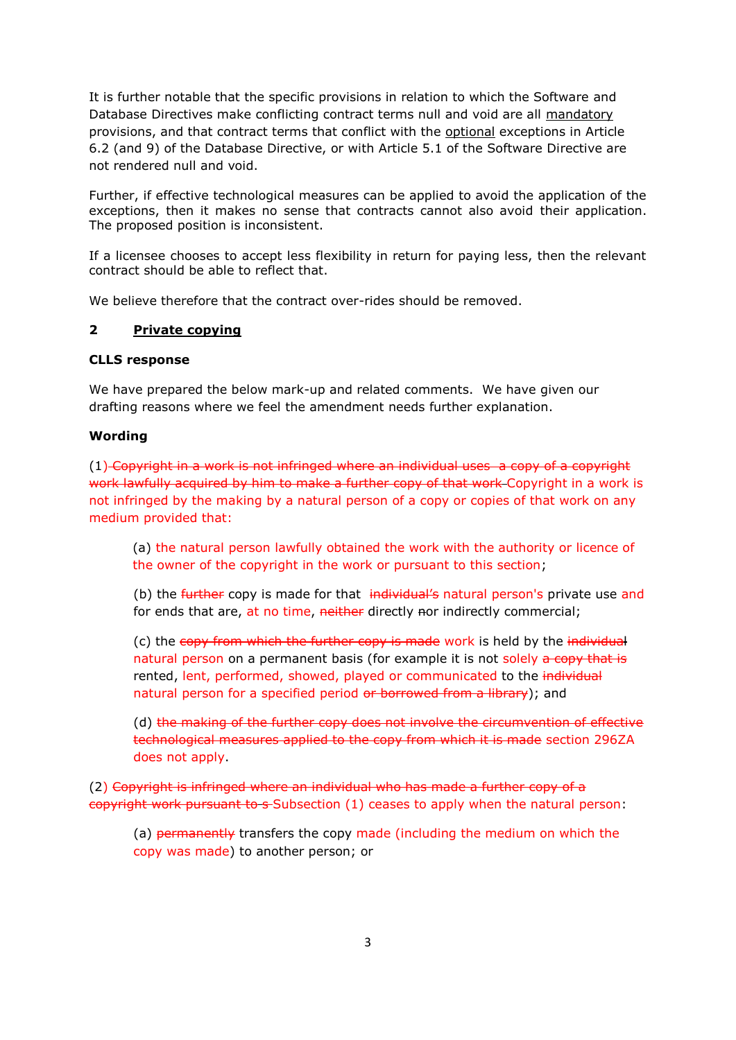It is further notable that the specific provisions in relation to which the Software and Database Directives make conflicting contract terms null and void are all mandatory provisions, and that contract terms that conflict with the optional exceptions in Article 6.2 (and 9) of the Database Directive, or with Article 5.1 of the Software Directive are not rendered null and void.

Further, if effective technological measures can be applied to avoid the application of the exceptions, then it makes no sense that contracts cannot also avoid their application. The proposed position is inconsistent.

If a licensee chooses to accept less flexibility in return for paying less, then the relevant contract should be able to reflect that.

We believe therefore that the contract over-rides should be removed.

## **2 [Private copying](http://www.ipo.gov.uk/techreview-private-copying.pdf)**

### **CLLS response**

We have prepared the below mark-up and related comments. We have given our drafting reasons where we feel the amendment needs further explanation.

### **Wording**

(1) Copyright in a work is not infringed where an individual uses a copy of a copyright work lawfully acquired by him to make a further copy of that work Copyright in a work is not infringed by the making by a natural person of a copy or copies of that work on any medium provided that:

(a) the natural person lawfully obtained the work with the authority or licence of the owner of the copyright in the work or pursuant to this section;

(b) the *further* copy is made for that individual's natural person's private use and for ends that are, at no time, neither directly nor indirectly commercial;

(c) the copy from which the further copy is made work is held by the individual natural person on a permanent basis (for example it is not solely a copy that is rented, lent, performed, showed, played or communicated to the individual natural person for a specified period or borrowed from a library); and

(d) the making of the further copy does not involve the circumvention of effective technological measures applied to the copy from which it is made section 296ZA does not apply.

(2) Copyright is infringed where an individual who has made a further copy of a copyright work pursuant to s-Subsection (1) ceases to apply when the natural person:

(a) permanently transfers the copy made (including the medium on which the copy was made) to another person; or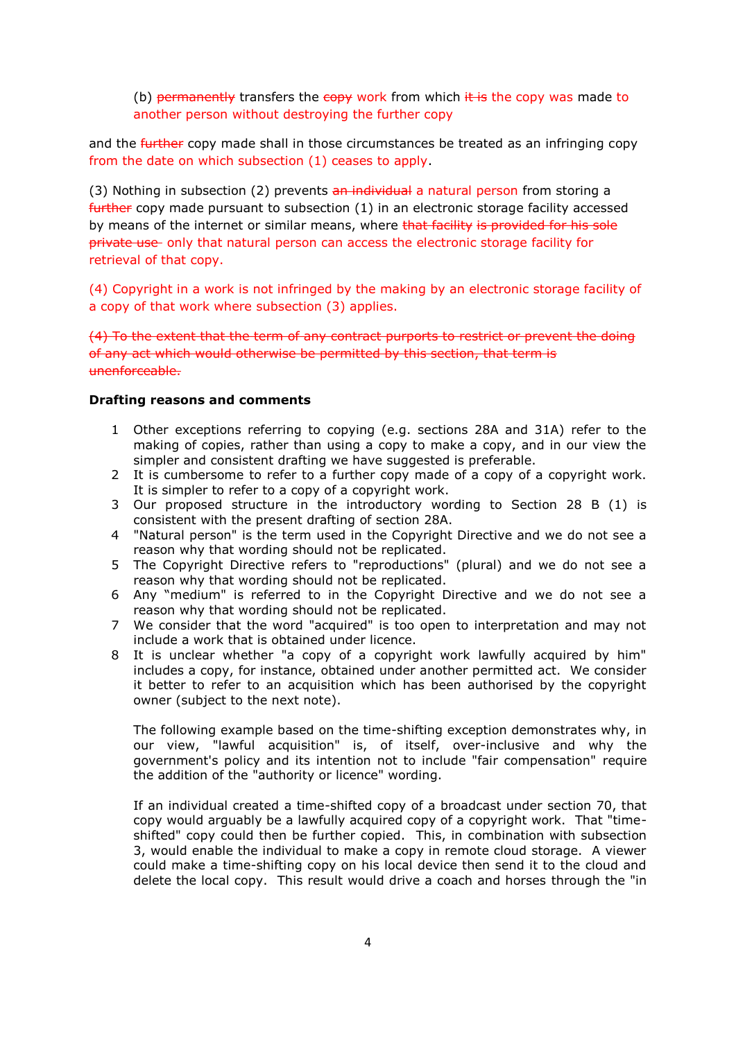(b) permanently transfers the  $\epsilon$ opy work from which  $\frac{1}{k}$  is the copy was made to another person without destroying the further copy

and the further copy made shall in those circumstances be treated as an infringing copy from the date on which subsection (1) ceases to apply.

(3) Nothing in subsection (2) prevents an individual a natural person from storing a further copy made pursuant to subsection (1) in an electronic storage facility accessed by means of the internet or similar means, where that facility is provided for his sole private use only that natural person can access the electronic storage facility for retrieval of that copy.

(4) Copyright in a work is not infringed by the making by an electronic storage facility of a copy of that work where subsection (3) applies.

(4) To the extent that the term of any contract purports to restrict or prevent the doing of any act which would otherwise be permitted by this section, that term is unenforceable.

### **Drafting reasons and comments**

- 1 Other exceptions referring to copying (e.g. sections 28A and 31A) refer to the making of copies, rather than using a copy to make a copy, and in our view the simpler and consistent drafting we have suggested is preferable.
- 2 It is cumbersome to refer to a further copy made of a copy of a copyright work. It is simpler to refer to a copy of a copyright work.
- 3 Our proposed structure in the introductory wording to Section 28 B (1) is consistent with the present drafting of section 28A.
- 4 "Natural person" is the term used in the Copyright Directive and we do not see a reason why that wording should not be replicated.
- 5 The Copyright Directive refers to "reproductions" (plural) and we do not see a reason why that wording should not be replicated.
- 6 Any "medium" is referred to in the Copyright Directive and we do not see a reason why that wording should not be replicated.
- 7 We consider that the word "acquired" is too open to interpretation and may not include a work that is obtained under licence.
- 8 It is unclear whether "a copy of a copyright work lawfully acquired by him" includes a copy, for instance, obtained under another permitted act. We consider it better to refer to an acquisition which has been authorised by the copyright owner (subject to the next note).

The following example based on the time-shifting exception demonstrates why, in our view, "lawful acquisition" is, of itself, over-inclusive and why the government's policy and its intention not to include "fair compensation" require the addition of the "authority or licence" wording.

If an individual created a time-shifted copy of a broadcast under section 70, that copy would arguably be a lawfully acquired copy of a copyright work. That "timeshifted" copy could then be further copied. This, in combination with subsection 3, would enable the individual to make a copy in remote cloud storage. A viewer could make a time-shifting copy on his local device then send it to the cloud and delete the local copy. This result would drive a coach and horses through the "in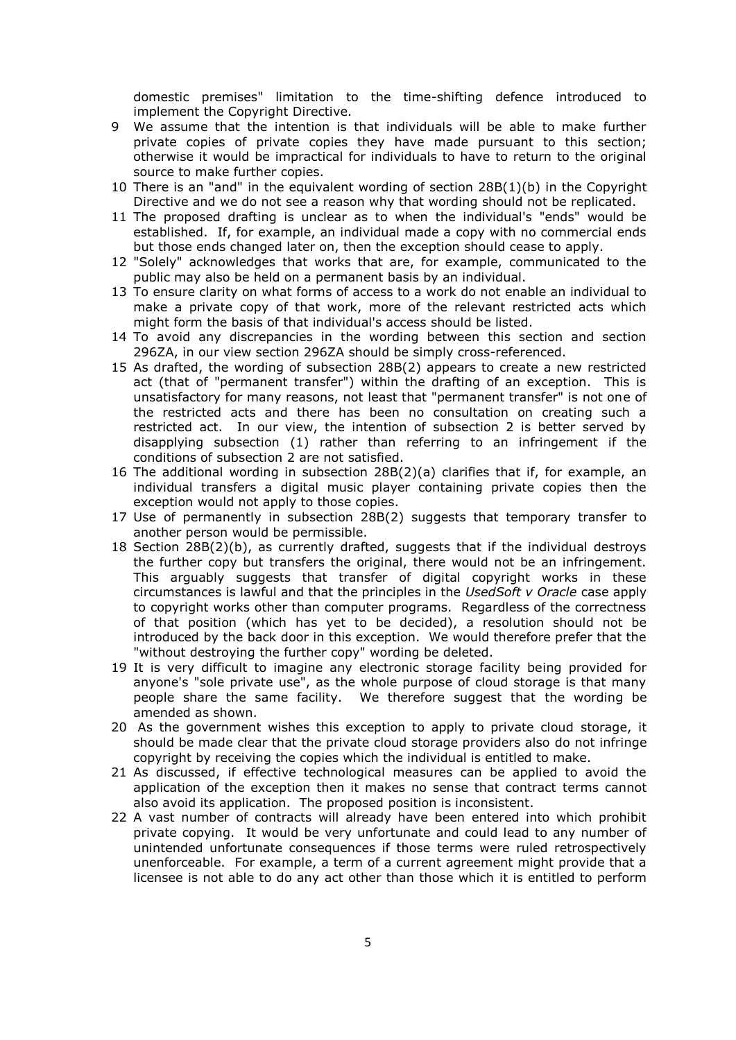domestic premises" limitation to the time-shifting defence introduced to implement the Copyright Directive.

- 9 We assume that the intention is that individuals will be able to make further private copies of private copies they have made pursuant to this section; otherwise it would be impractical for individuals to have to return to the original source to make further copies.
- 10 There is an "and" in the equivalent wording of section 28B(1)(b) in the Copyright Directive and we do not see a reason why that wording should not be replicated.
- 11 The proposed drafting is unclear as to when the individual's "ends" would be established. If, for example, an individual made a copy with no commercial ends but those ends changed later on, then the exception should cease to apply.
- 12 "Solely" acknowledges that works that are, for example, communicated to the public may also be held on a permanent basis by an individual.
- 13 To ensure clarity on what forms of access to a work do not enable an individual to make a private copy of that work, more of the relevant restricted acts which might form the basis of that individual's access should be listed.
- 14 To avoid any discrepancies in the wording between this section and section 296ZA, in our view section 296ZA should be simply cross-referenced.
- 15 As drafted, the wording of subsection 28B(2) appears to create a new restricted act (that of "permanent transfer") within the drafting of an exception. This is unsatisfactory for many reasons, not least that "permanent transfer" is not one of the restricted acts and there has been no consultation on creating such a restricted act. In our view, the intention of subsection 2 is better served by disapplying subsection (1) rather than referring to an infringement if the conditions of subsection 2 are not satisfied.
- 16 The additional wording in subsection 28B(2)(a) clarifies that if, for example, an individual transfers a digital music player containing private copies then the exception would not apply to those copies.
- 17 Use of permanently in subsection 28B(2) suggests that temporary transfer to another person would be permissible.
- 18 Section 28B(2)(b), as currently drafted, suggests that if the individual destroys the further copy but transfers the original, there would not be an infringement. This arguably suggests that transfer of digital copyright works in these circumstances is lawful and that the principles in the *UsedSoft v Oracle* case apply to copyright works other than computer programs. Regardless of the correctness of that position (which has yet to be decided), a resolution should not be introduced by the back door in this exception. We would therefore prefer that the "without destroying the further copy" wording be deleted.
- 19 It is very difficult to imagine any electronic storage facility being provided for anyone's "sole private use", as the whole purpose of cloud storage is that many people share the same facility. We therefore suggest that the wording be amended as shown.
- 20 As the government wishes this exception to apply to private cloud storage, it should be made clear that the private cloud storage providers also do not infringe copyright by receiving the copies which the individual is entitled to make.
- 21 As discussed, if effective technological measures can be applied to avoid the application of the exception then it makes no sense that contract terms cannot also avoid its application. The proposed position is inconsistent.
- 22 A vast number of contracts will already have been entered into which prohibit private copying. It would be very unfortunate and could lead to any number of unintended unfortunate consequences if those terms were ruled retrospectively unenforceable. For example, a term of a current agreement might provide that a licensee is not able to do any act other than those which it is entitled to perform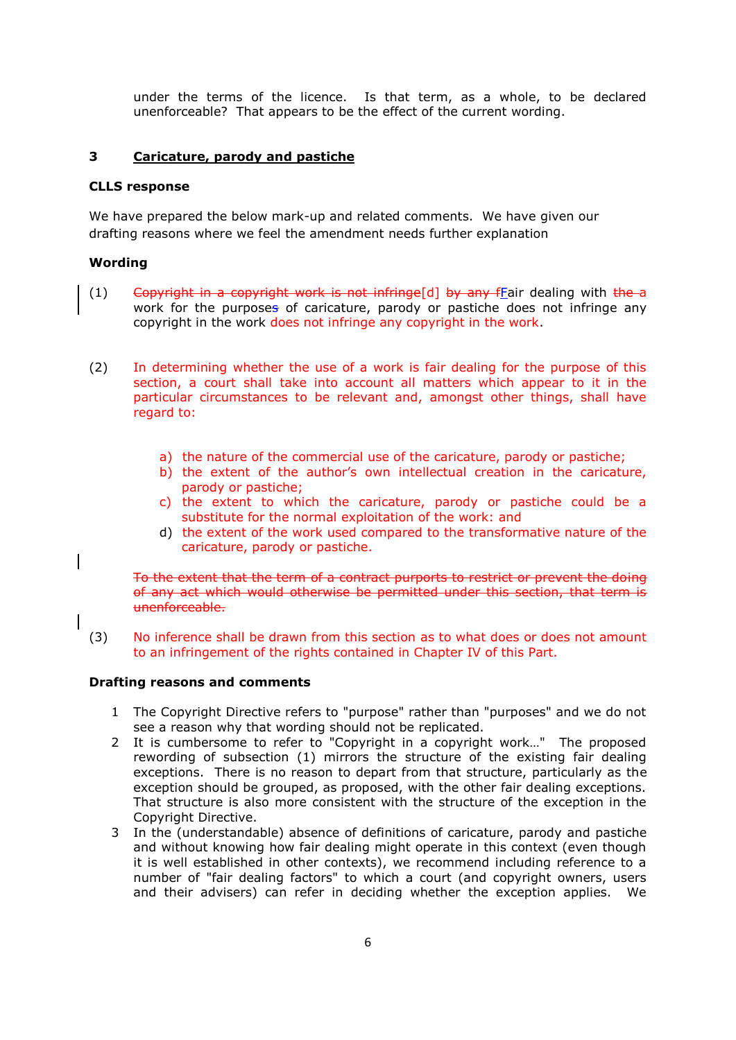under the terms of the licence. Is that term, as a whole, to be declared unenforceable? That appears to be the effect of the current wording.

### **3 [Caricature, parody and pastiche](http://www.ipo.gov.uk/techreview-parody.pdf)**

### **CLLS response**

We have prepared the below mark-up and related comments. We have given our drafting reasons where we feel the amendment needs further explanation

## **Wording**

- (1) Copyright in a copyright work is not infringe[d] by any fEair dealing with the a work for the purposes of caricature, parody or pastiche does not infringe any copyright in the work does not infringe any copyright in the work.
- (2) In determining whether the use of a work is fair dealing for the purpose of this section, a court shall take into account all matters which appear to it in the particular circumstances to be relevant and, amongst other things, shall have regard to:
	- a) the nature of the commercial use of the caricature, parody or pastiche;
	- b) the extent of the author's own intellectual creation in the caricature, parody or pastiche;
	- c) the extent to which the caricature, parody or pastiche could be a substitute for the normal exploitation of the work: and
	- d) the extent of the work used compared to the transformative nature of the caricature, parody or pastiche.

To the extent that the term of a contract purports to restrict or prevent the doing of any act which would otherwise be permitted under this section, that term is unenforceable.

(3) No inference shall be drawn from this section as to what does or does not amount to an infringement of the rights contained in Chapter IV of this Part.

### **Drafting reasons and comments**

- 1 The Copyright Directive refers to "purpose" rather than "purposes" and we do not see a reason why that wording should not be replicated.
- 2 It is cumbersome to refer to "Copyright in a copyright work…" The proposed rewording of subsection (1) mirrors the structure of the existing fair dealing exceptions. There is no reason to depart from that structure, particularly as the exception should be grouped, as proposed, with the other fair dealing exceptions. That structure is also more consistent with the structure of the exception in the Copyright Directive.
- 3 In the (understandable) absence of definitions of caricature, parody and pastiche and without knowing how fair dealing might operate in this context (even though it is well established in other contexts), we recommend including reference to a number of "fair dealing factors" to which a court (and copyright owners, users and their advisers) can refer in deciding whether the exception applies. We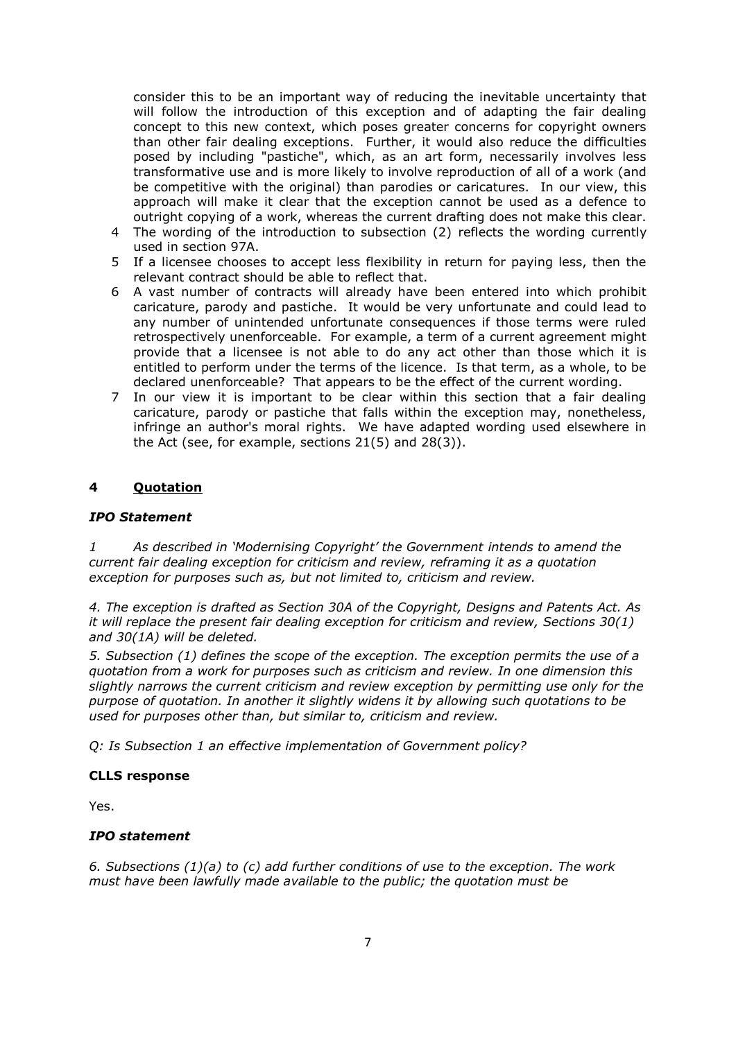consider this to be an important way of reducing the inevitable uncertainty that will follow the introduction of this exception and of adapting the fair dealing concept to this new context, which poses greater concerns for copyright owners than other fair dealing exceptions. Further, it would also reduce the difficulties posed by including "pastiche", which, as an art form, necessarily involves less transformative use and is more likely to involve reproduction of all of a work (and be competitive with the original) than parodies or caricatures. In our view, this approach will make it clear that the exception cannot be used as a defence to outright copying of a work, whereas the current drafting does not make this clear.

- 4 The wording of the introduction to subsection (2) reflects the wording currently used in section 97A.
- 5 If a licensee chooses to accept less flexibility in return for paying less, then the relevant contract should be able to reflect that.
- 6 A vast number of contracts will already have been entered into which prohibit caricature, parody and pastiche. It would be very unfortunate and could lead to any number of unintended unfortunate consequences if those terms were ruled retrospectively unenforceable. For example, a term of a current agreement might provide that a licensee is not able to do any act other than those which it is entitled to perform under the terms of the licence. Is that term, as a whole, to be declared unenforceable? That appears to be the effect of the current wording.
- 7 In our view it is important to be clear within this section that a fair dealing caricature, parody or pastiche that falls within the exception may, nonetheless, infringe an author's moral rights. We have adapted wording used elsewhere in the Act (see, for example, sections 21(5) and 28(3)).

### **4 [Quotation](http://www.ipo.gov.uk/techreview-quotation.pdf)**

#### *IPO Statement*

*1 As described in 'Modernising Copyright' the Government intends to amend the current fair dealing exception for criticism and review, reframing it as a quotation exception for purposes such as, but not limited to, criticism and review.*

*4. The exception is drafted as Section 30A of the Copyright, Designs and Patents Act. As it will replace the present fair dealing exception for criticism and review, Sections 30(1) and 30(1A) will be deleted.* 

*5. Subsection (1) defines the scope of the exception. The exception permits the use of a quotation from a work for purposes such as criticism and review. In one dimension this slightly narrows the current criticism and review exception by permitting use only for the purpose of quotation. In another it slightly widens it by allowing such quotations to be used for purposes other than, but similar to, criticism and review.* 

*Q: Is Subsection 1 an effective implementation of Government policy?*

#### **CLLS response**

Yes.

#### *IPO statement*

*6. Subsections (1)(a) to (c) add further conditions of use to the exception. The work must have been lawfully made available to the public; the quotation must be*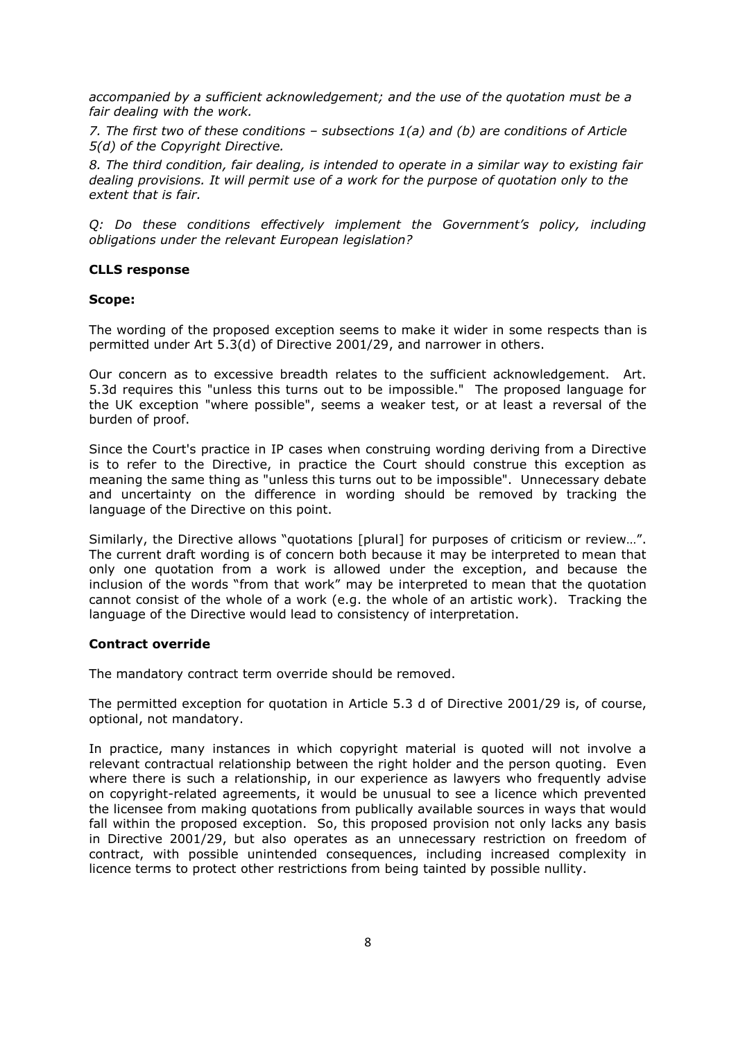*accompanied by a sufficient acknowledgement; and the use of the quotation must be a fair dealing with the work.* 

*7. The first two of these conditions – subsections 1(a) and (b) are conditions of Article 5(d) of the Copyright Directive.* 

*8. The third condition, fair dealing, is intended to operate in a similar way to existing fair dealing provisions. It will permit use of a work for the purpose of quotation only to the extent that is fair.* 

*Q: Do these conditions effectively implement the Government's policy, including obligations under the relevant European legislation?*

#### **CLLS response**

#### **Scope:**

The wording of the proposed exception seems to make it wider in some respects than is permitted under Art 5.3(d) of Directive 2001/29, and narrower in others.

Our concern as to excessive breadth relates to the sufficient acknowledgement. Art. 5.3d requires this "unless this turns out to be impossible." The proposed language for the UK exception "where possible", seems a weaker test, or at least a reversal of the burden of proof.

Since the Court's practice in IP cases when construing wording deriving from a Directive is to refer to the Directive, in practice the Court should construe this exception as meaning the same thing as "unless this turns out to be impossible". Unnecessary debate and uncertainty on the difference in wording should be removed by tracking the language of the Directive on this point.

Similarly, the Directive allows "quotations [plural] for purposes of criticism or review…". The current draft wording is of concern both because it may be interpreted to mean that only one quotation from a work is allowed under the exception, and because the inclusion of the words "from that work" may be interpreted to mean that the quotation cannot consist of the whole of a work (e.g. the whole of an artistic work). Tracking the language of the Directive would lead to consistency of interpretation.

#### **Contract override**

The mandatory contract term override should be removed.

The permitted exception for quotation in Article 5.3 d of Directive 2001/29 is, of course, optional, not mandatory.

In practice, many instances in which copyright material is quoted will not involve a relevant contractual relationship between the right holder and the person quoting. Even where there is such a relationship, in our experience as lawyers who frequently advise on copyright-related agreements, it would be unusual to see a licence which prevented the licensee from making quotations from publically available sources in ways that would fall within the proposed exception. So, this proposed provision not only lacks any basis in Directive 2001/29, but also operates as an unnecessary restriction on freedom of contract, with possible unintended consequences, including increased complexity in licence terms to protect other restrictions from being tainted by possible nullity.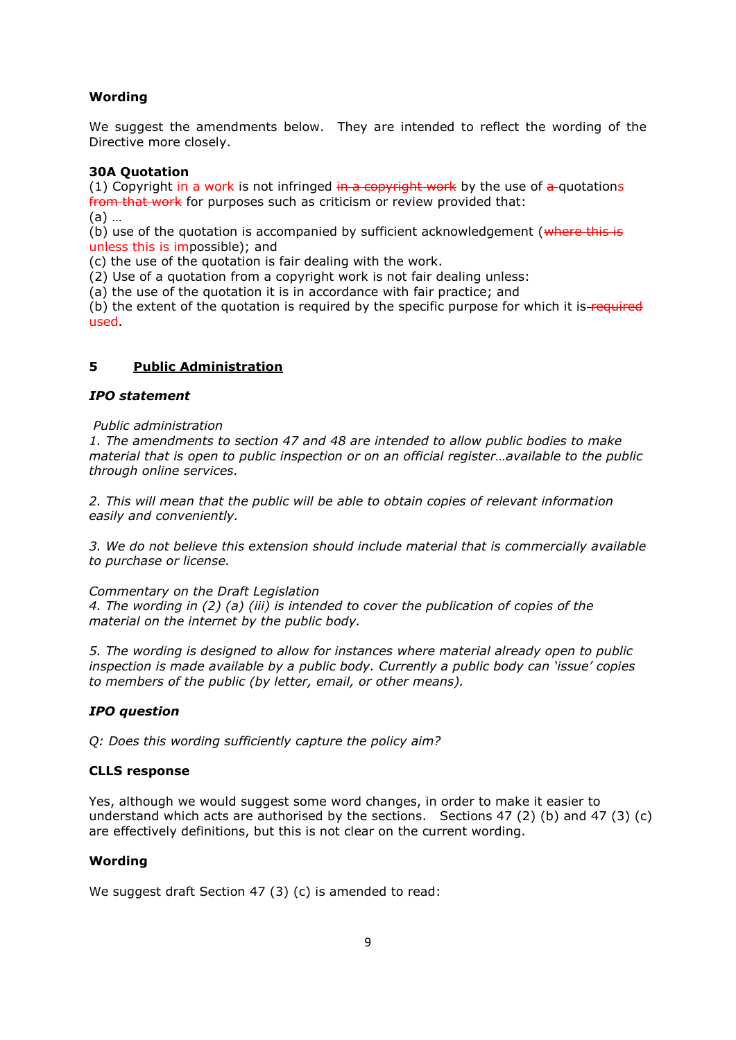# **Wording**

We suggest the amendments below. They are intended to reflect the wording of the Directive more closely.

### **30A Quotation**

(1) Copyright in a work is not infringed in a copyright work by the use of a quotations from that work for purposes such as criticism or review provided that: (a) …

(b) use of the quotation is accompanied by sufficient acknowledgement ( $\theta$ ) where this is unless this is impossible); and

(c) the use of the quotation is fair dealing with the work.

(2) Use of a quotation from a copyright work is not fair dealing unless:

(a) the use of the quotation it is in accordance with fair practice; and

(b) the extent of the quotation is required by the specific purpose for which it is-required used.

# **5 [Public Administration](http://www.ipo.gov.uk/techreview-public-admin.pdf)**

### *IPO statement*

### *Public administration*

*1. The amendments to section 47 and 48 are intended to allow public bodies to make material that is open to public inspection or on an official register…available to the public through online services.* 

*2. This will mean that the public will be able to obtain copies of relevant information easily and conveniently.* 

*3. We do not believe this extension should include material that is commercially available to purchase or license.* 

### *Commentary on the Draft Legislation*

*4. The wording in (2) (a) (iii) is intended to cover the publication of copies of the material on the internet by the public body.* 

*5. The wording is designed to allow for instances where material already open to public inspection is made available by a public body. Currently a public body can 'issue' copies to members of the public (by letter, email, or other means).*

# *IPO question*

*Q: Does this wording sufficiently capture the policy aim?*

### **CLLS response**

Yes, although we would suggest some word changes, in order to make it easier to understand which acts are authorised by the sections. Sections 47 (2) (b) and 47 (3) (c) are effectively definitions, but this is not clear on the current wording.

### **Wording**

We suggest draft Section 47 (3) (c) is amended to read: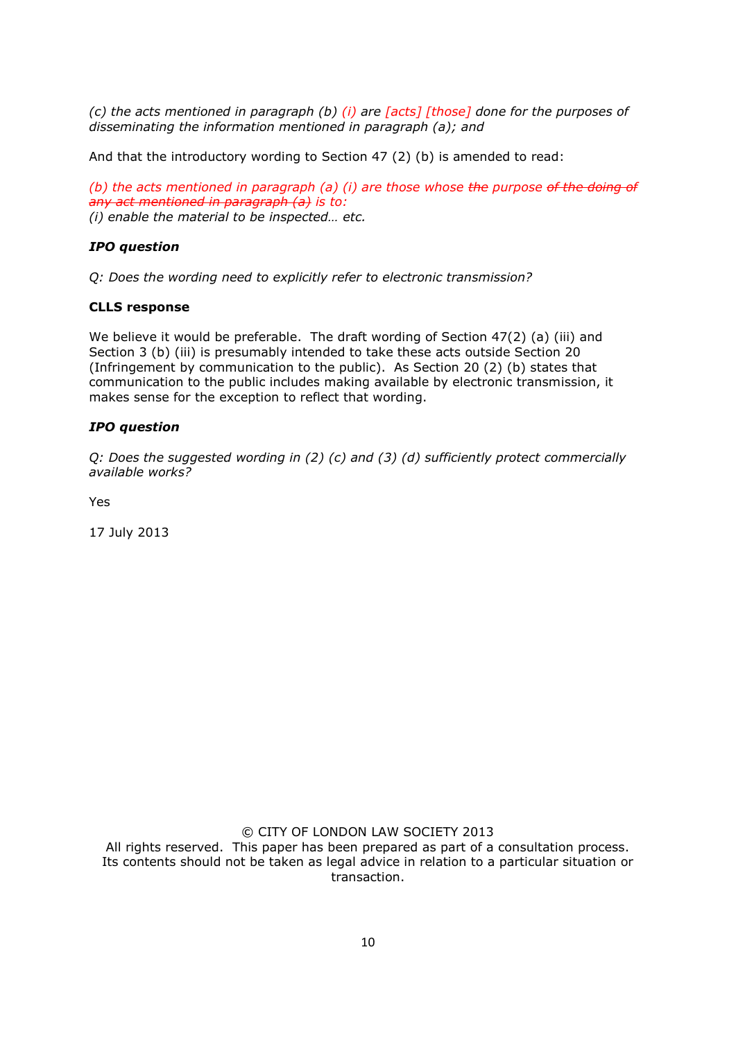*(c) the acts mentioned in paragraph (b) (i) are [acts] [those] done for the purposes of disseminating the information mentioned in paragraph (a); and*

And that the introductory wording to Section 47 (2) (b) is amended to read:

*(b) the acts mentioned in paragraph (a) (i) are those whose the purpose of the doing of any act mentioned in paragraph (a) is to: (i) enable the material to be inspected… etc.*

## *IPO question*

*Q: Does the wording need to explicitly refer to electronic transmission?*

### **CLLS response**

We believe it would be preferable. The draft wording of Section 47(2) (a) (iii) and Section 3 (b) (iii) is presumably intended to take these acts outside Section 20 (Infringement by communication to the public). As Section 20 (2) (b) states that communication to the public includes making available by electronic transmission, it makes sense for the exception to reflect that wording.

### *IPO question*

*Q: Does the suggested wording in (2) (c) and (3) (d) sufficiently protect commercially available works?*

Yes

17 July 2013

© CITY OF LONDON LAW SOCIETY 2013

All rights reserved. This paper has been prepared as part of a consultation process. Its contents should not be taken as legal advice in relation to a particular situation or transaction.